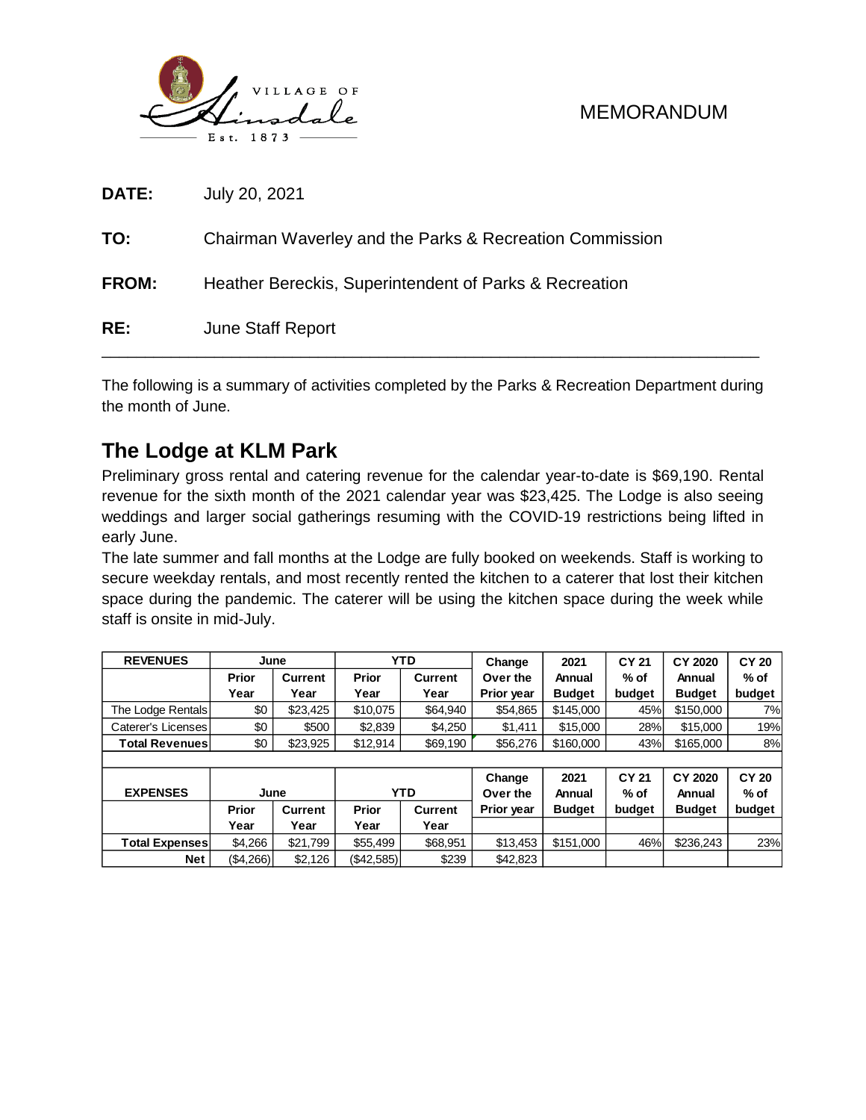

| RE:          | <b>June Staff Report</b>                                |
|--------------|---------------------------------------------------------|
| <b>FROM:</b> | Heather Bereckis, Superintendent of Parks & Recreation  |
| TO:          | Chairman Waverley and the Parks & Recreation Commission |
| DATE:        | July 20, 2021                                           |

The following is a summary of activities completed by the Parks & Recreation Department during the month of June.

## **The Lodge at KLM Park**

Preliminary gross rental and catering revenue for the calendar year-to-date is \$69,190. Rental revenue for the sixth month of the 2021 calendar year was \$23,425. The Lodge is also seeing weddings and larger social gatherings resuming with the COVID-19 restrictions being lifted in early June.

The late summer and fall months at the Lodge are fully booked on weekends. Staff is working to secure weekday rentals, and most recently rented the kitchen to a caterer that lost their kitchen space during the pandemic. The caterer will be using the kitchen space during the week while staff is onsite in mid-July.

| <b>REVENUES</b>       | June         |          | <b>YTD</b>   |                | Change     | 2021          | <b>CY 21</b> | CY 2020       | <b>CY 20</b> |
|-----------------------|--------------|----------|--------------|----------------|------------|---------------|--------------|---------------|--------------|
|                       | <b>Prior</b> | Current  | <b>Prior</b> | <b>Current</b> | Over the   | Annual        | $%$ of       | Annual        | $%$ of       |
|                       | Year         | Year     | Year         | Year           | Prior year | <b>Budget</b> | budget       | <b>Budget</b> | budget       |
| The Lodge Rentals     | \$0          | \$23,425 | \$10.075     | \$64.940       | \$54,865   | \$145,000     | 45%          | \$150,000     | 7%l          |
| Caterer's Licenses    | \$0          | \$500    | \$2,839      | \$4.250        | \$1,411    | \$15,000      | 28%          | \$15,000      | 19%          |
| <b>Total Revenues</b> | \$0          | \$23,925 | \$12,914     | \$69,190       | \$56,276   | \$160,000     | 43%          | \$165,000     | 8%           |
|                       |              |          |              |                |            |               |              |               |              |
|                       |              |          |              |                | Change     | 2021          | <b>CY 21</b> | CY 2020       | <b>CY 20</b> |
| <b>EXPENSES</b>       | June         |          |              | <b>YTD</b>     | Over the   | Annual        | $%$ of       | Annual        | $%$ of       |
|                       | Prior        | Current  | Prior        | <b>Current</b> | Prior year | <b>Budget</b> | budget       | <b>Budget</b> | budget       |
|                       | Year         | Year     | Year         | Year           |            |               |              |               |              |
| <b>Total Expenses</b> | \$4.266      | \$21,799 | \$55,499     | \$68,951       | \$13,453   | \$151,000     | 46%          | \$236,243     | 23%          |
| <b>Net</b>            | (\$4,266)    | \$2,126  | (\$42,585)   | \$239          | \$42,823   |               |              |               |              |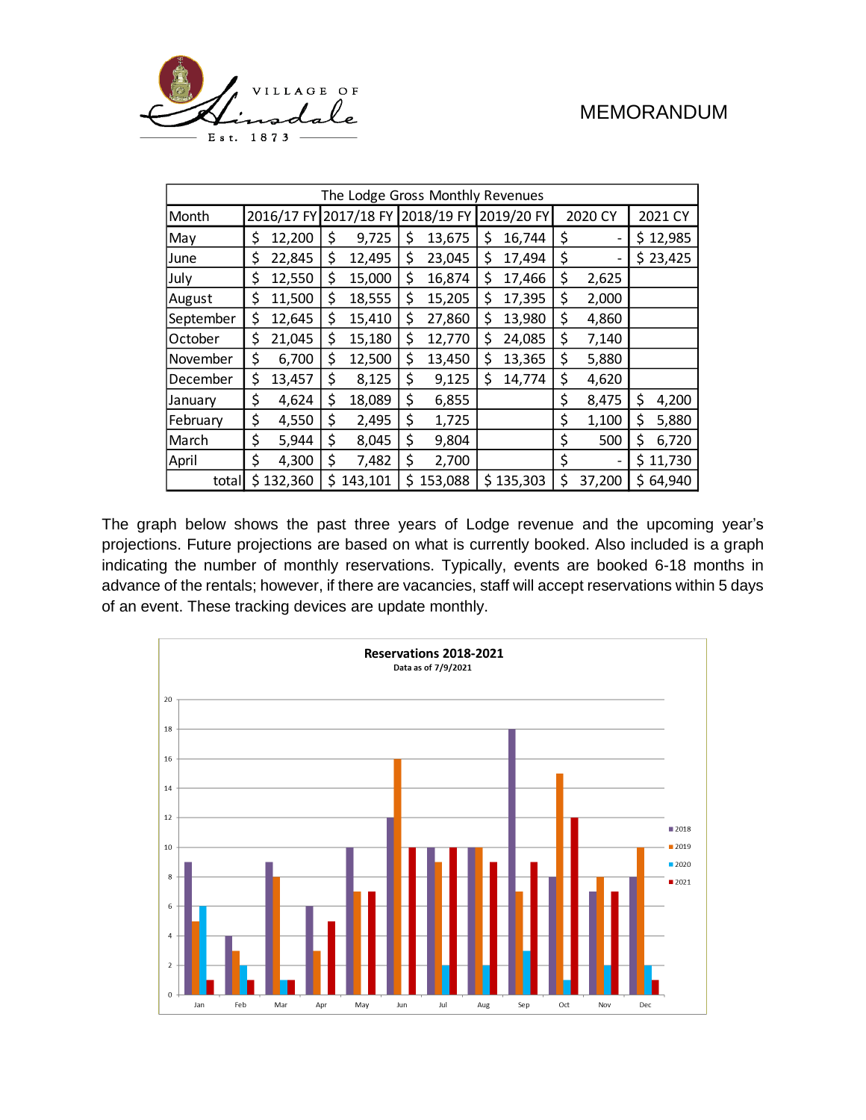

| The Lodge Gross Monthly Revenues |    |           |                       |         |    |            |    |            |    |         |    |          |
|----------------------------------|----|-----------|-----------------------|---------|----|------------|----|------------|----|---------|----|----------|
| Month                            |    |           | 2016/17 FY 2017/18 FY |         |    | 2018/19 FY |    | 2019/20 FY |    | 2020 CY |    | 2021 CY  |
| May                              | \$ | 12,200    | \$                    | 9,725   | \$ | 13,675     | \$ | 16,744     | \$ |         |    | \$12,985 |
| June                             | \$ | 22,845    | \$                    | 12,495  | \$ | 23,045     | \$ | 17,494     | \$ |         |    | \$23,425 |
| July                             | \$ | 12,550    | \$                    | 15,000  | \$ | 16,874     | \$ | 17,466     | \$ | 2,625   |    |          |
| August                           | \$ | 11,500    | \$                    | 18,555  | \$ | 15,205     | \$ | 17,395     | \$ | 2,000   |    |          |
| September                        | \$ | 12,645    | \$                    | 15,410  | \$ | 27,860     | \$ | 13,980     | \$ | 4,860   |    |          |
| October                          | \$ | 21,045    | \$                    | 15,180  | \$ | 12,770     | \$ | 24,085     | \$ | 7,140   |    |          |
| November                         | \$ | 6,700     | \$                    | 12,500  | \$ | 13,450     | \$ | 13,365     | \$ | 5,880   |    |          |
| December                         | \$ | 13,457    | \$                    | 8,125   | \$ | 9,125      | \$ | 14,774     | \$ | 4,620   |    |          |
| January                          | \$ | 4,624     | \$                    | 18,089  | \$ | 6,855      |    |            | \$ | 8,475   | \$ | 4,200    |
| February                         | \$ | 4,550     | \$                    | 2,495   | \$ | 1,725      |    |            | \$ | 1,100   | \$ | 5,880    |
| March                            | \$ | 5,944     | \$                    | 8,045   | \$ | 9,804      |    |            | \$ | 500     | \$ | 6,720    |
| April                            | \$ | 4,300     | \$                    | 7,482   | \$ | 2,700      |    |            | \$ |         |    | \$11,730 |
| total                            |    | \$132,360 | \$                    | 143,101 | \$ | 153,088    |    | \$135,303  | \$ | 37,200  | Ś. | 64,940   |

The graph below shows the past three years of Lodge revenue and the upcoming year's projections. Future projections are based on what is currently booked. Also included is a graph indicating the number of monthly reservations. Typically, events are booked 6-18 months in advance of the rentals; however, if there are vacancies, staff will accept reservations within 5 days of an event. These tracking devices are update monthly.

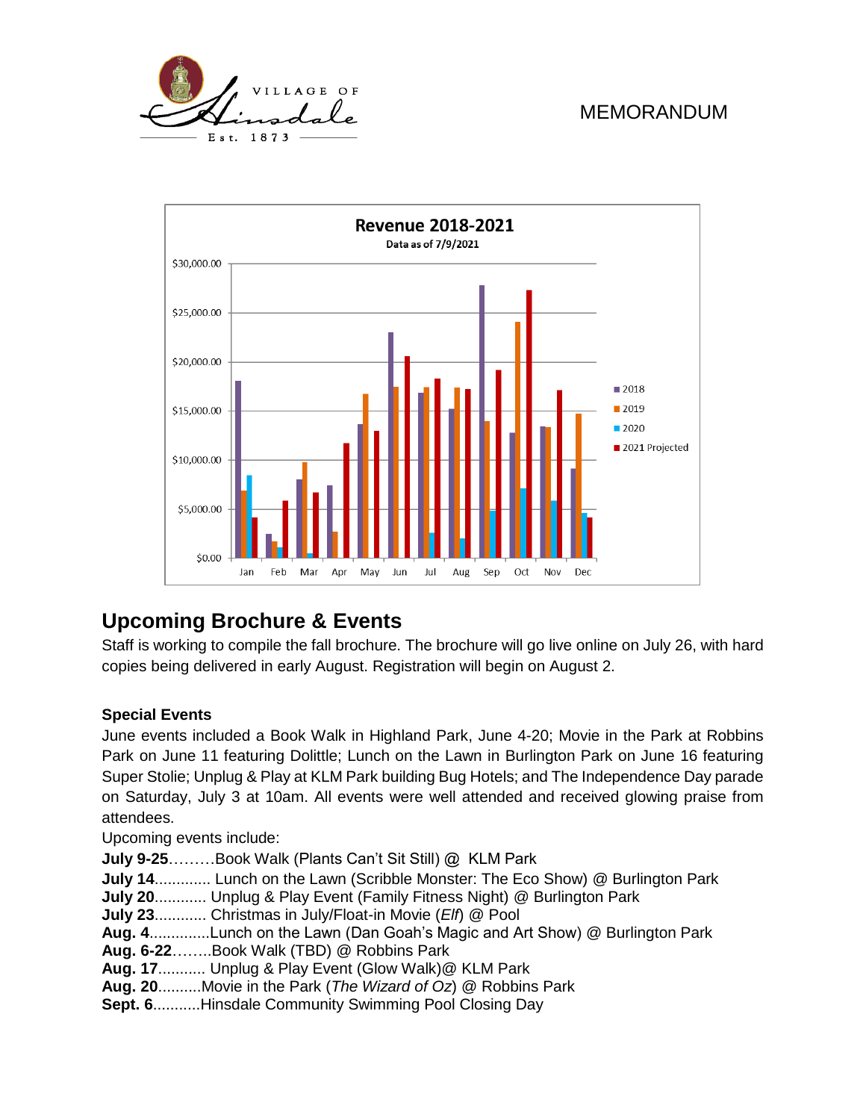



# **Upcoming Brochure & Events**

Staff is working to compile the fall brochure. The brochure will go live online on July 26, with hard copies being delivered in early August. Registration will begin on August 2.

#### **Special Events**

June events included a Book Walk in Highland Park, June 4-20; Movie in the Park at Robbins Park on June 11 featuring Dolittle; Lunch on the Lawn in Burlington Park on June 16 featuring Super Stolie; Unplug & Play at KLM Park building Bug Hotels; and The Independence Day parade on Saturday, July 3 at 10am. All events were well attended and received glowing praise from attendees.

Upcoming events include:

- **July 9-25**………Book Walk (Plants Can't Sit Still) @ KLM Park
- **July 14**............. Lunch on the Lawn (Scribble Monster: The Eco Show) @ Burlington Park
- **July 20**............ Unplug & Play Event (Family Fitness Night) @ Burlington Park
- **July 23**............ Christmas in July/Float-in Movie (*Elf*) @ Pool
- **Aug. 4**..............Lunch on the Lawn (Dan Goah's Magic and Art Show) @ Burlington Park
- **Aug. 6-22**……..Book Walk (TBD) @ Robbins Park
- **Aug. 17**........... Unplug & Play Event (Glow Walk)@ KLM Park
- **Aug. 20**..........Movie in the Park (*The Wizard of Oz*) @ Robbins Park
- **Sept. 6**...........Hinsdale Community Swimming Pool Closing Day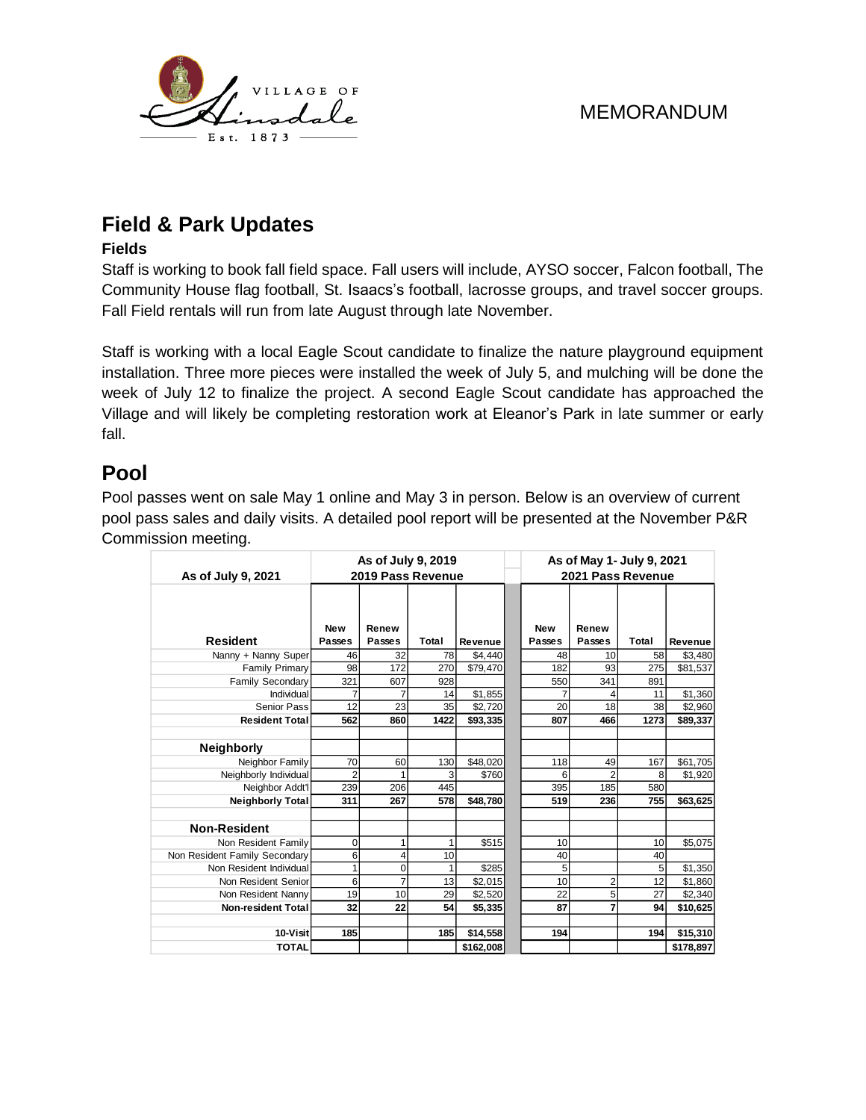

# **Field & Park Updates**

#### **Fields**

Staff is working to book fall field space. Fall users will include, AYSO soccer, Falcon football, The Community House flag football, St. Isaacs's football, lacrosse groups, and travel soccer groups. Fall Field rentals will run from late August through late November.

Staff is working with a local Eagle Scout candidate to finalize the nature playground equipment installation. Three more pieces were installed the week of July 5, and mulching will be done the week of July 12 to finalize the project. A second Eagle Scout candidate has approached the Village and will likely be completing restoration work at Eleanor's Park in late summer or early fall.

### **Pool**

Pool passes went on sale May 1 online and May 3 in person. Below is an overview of current pool pass sales and daily visits. A detailed pool report will be presented at the November P&R Commission meeting.

|                               |                | As of July 9, 2019 |       |           | As of May 1- July 9, 2021 |            |                   |              |           |
|-------------------------------|----------------|--------------------|-------|-----------|---------------------------|------------|-------------------|--------------|-----------|
| As of July 9, 2021            |                | 2019 Pass Revenue  |       |           |                           |            | 2021 Pass Revenue |              |           |
|                               | <b>New</b>     | Renew              |       |           |                           | <b>New</b> | Renew             |              |           |
| <b>Resident</b>               | Passes         | Passes             | Total | Revenue   |                           | Passes     | Passes            | <b>Total</b> | Revenue   |
| Nanny + Nanny Super           | 46             | 32                 | 78    | \$4,440   |                           | 48         | 10                | 58           | \$3,480   |
| <b>Family Primary</b>         | 98             | 172                | 270   | \$79,470  |                           | 182        | 93                | 275          | \$81,537  |
| Family Secondary              | 321            | 607                | 928   |           |                           | 550        | 341               | 891          |           |
| Individual                    | 7              | 7                  | 14    | \$1,855   |                           | 7          | 4                 | 11           | \$1,360   |
| Senior Pass                   | 12             | 23                 | 35    | \$2,720   |                           | 20         | 18                | 38           | \$2,960   |
| <b>Resident Total</b>         | 562            | 860                | 1422  | \$93,335  |                           | 807        | 466               | 1273         | \$89,337  |
|                               |                |                    |       |           |                           |            |                   |              |           |
| <b>Neighborly</b>             |                |                    |       |           |                           |            |                   |              |           |
| Neighbor Family               | 70             | 60                 | 130   | \$48,020  |                           | 118        | 49                | 167          | \$61,705  |
| Neighborly Individual         | $\overline{2}$ | 1                  | 3     | \$760     |                           | 6          | $\overline{2}$    | 8            | \$1,920   |
| Neighbor Addt'l               | 239            | 206                | 445   |           |                           | 395        | 185               | 580          |           |
| <b>Neighborly Total</b>       | 311            | 267                | 578   | \$48,780  |                           | 519        | 236               | 755          | \$63,625  |
|                               |                |                    |       |           |                           |            |                   |              |           |
| <b>Non-Resident</b>           |                |                    |       |           |                           |            |                   |              |           |
| Non Resident Family           | $\mathbf 0$    | 1                  |       | \$515     |                           | 10         |                   | 10           | \$5,075   |
| Non Resident Family Secondary | 6              | 4                  | 10    |           |                           | 40         |                   | 40           |           |
| Non Resident Individual       | 1              | 0                  |       | \$285     |                           | 5          |                   | 5            | \$1,350   |
| Non Resident Senior           | 6              | $\overline{7}$     | 13    | \$2,015   |                           | 10         | 2                 | 12           | \$1,860   |
| Non Resident Nanny            | 19             | 10                 | 29    | \$2.520   |                           | 22         | 5                 | 27           | \$2,340   |
| <b>Non-resident Total</b>     | 32             | 22                 | 54    | \$5,335   |                           | 87         | 7                 | 94           | \$10,625  |
|                               |                |                    |       |           |                           |            |                   |              |           |
| 10-Visit                      | 185            |                    | 185   | \$14,558  |                           | 194        |                   | 194          | \$15,310  |
| <b>TOTAL</b>                  |                |                    |       | \$162,008 |                           |            |                   |              | \$178,897 |